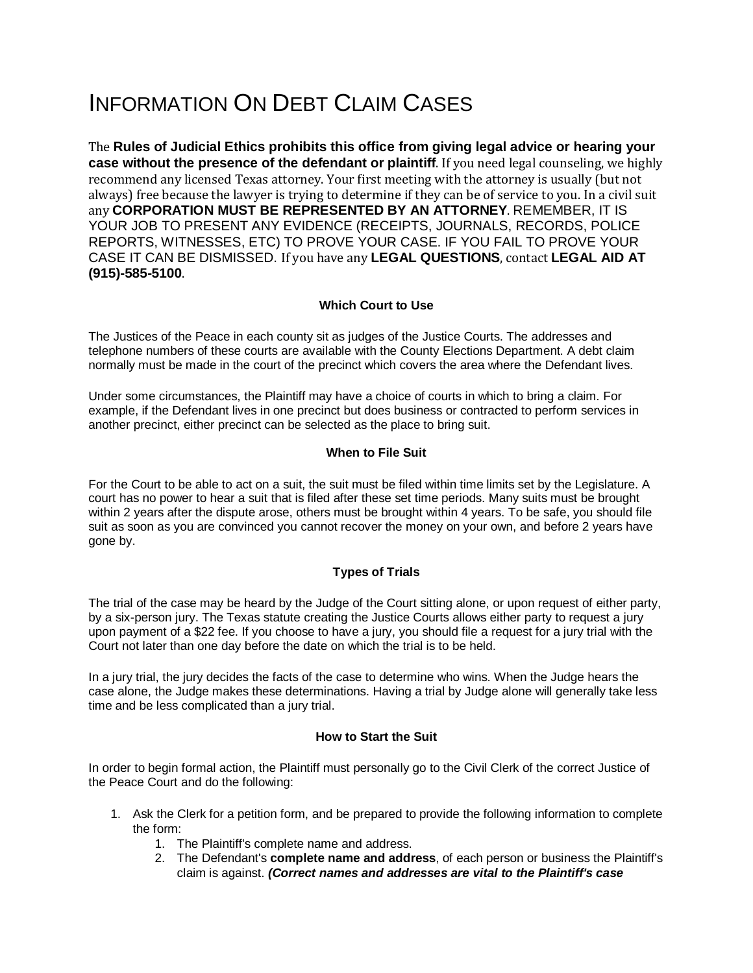# INFORMATION ON DEBT CLAIM CASES

The **Rules of Judicial Ethics prohibits this office from giving legal advice or hearing your case without the presence of the defendant or plaintiff**. If you need legal counseling, we highly recommend any licensed Texas attorney. Your first meeting with the attorney is usually (but not always) free because the lawyer is trying to determine if they can be of service to you. In a civil suit any **CORPORATION MUST BE REPRESENTED BY AN ATTORNEY**. REMEMBER, IT IS YOUR JOB TO PRESENT ANY EVIDENCE (RECEIPTS, JOURNALS, RECORDS, POLICE REPORTS, WITNESSES, ETC) TO PROVE YOUR CASE. IF YOU FAIL TO PROVE YOUR CASE IT CAN BE DISMISSED. If you have any **LEGAL QUESTIONS**, contact **LEGAL AID AT (915)-585-5100**.

## **Which Court to Use**

The Justices of the Peace in each county sit as judges of the Justice Courts. The addresses and telephone numbers of these courts are available with the County Elections Department. A debt claim normally must be made in the court of the precinct which covers the area where the Defendant lives.

Under some circumstances, the Plaintiff may have a choice of courts in which to bring a claim. For example, if the Defendant lives in one precinct but does business or contracted to perform services in another precinct, either precinct can be selected as the place to bring suit.

## **When to File Suit**

For the Court to be able to act on a suit, the suit must be filed within time limits set by the Legislature. A court has no power to hear a suit that is filed after these set time periods. Many suits must be brought within 2 years after the dispute arose, others must be brought within 4 years. To be safe, you should file suit as soon as you are convinced you cannot recover the money on your own, and before 2 years have gone by.

# **Types of Trials**

The trial of the case may be heard by the Judge of the Court sitting alone, or upon request of either party, by a six-person jury. The Texas statute creating the Justice Courts allows either party to request a jury upon payment of a \$22 fee. If you choose to have a jury, you should file a request for a jury trial with the Court not later than one day before the date on which the trial is to be held.

In a jury trial, the jury decides the facts of the case to determine who wins. When the Judge hears the case alone, the Judge makes these determinations. Having a trial by Judge alone will generally take less time and be less complicated than a jury trial.

#### **How to Start the Suit**

In order to begin formal action, the Plaintiff must personally go to the Civil Clerk of the correct Justice of the Peace Court and do the following:

- 1. Ask the Clerk for a petition form, and be prepared to provide the following information to complete the form:
	- 1. The Plaintiff's complete name and address.
	- 2. The Defendant's **complete name and address**, of each person or business the Plaintiff's claim is against. *(Correct names and addresses are vital to the Plaintiff's case*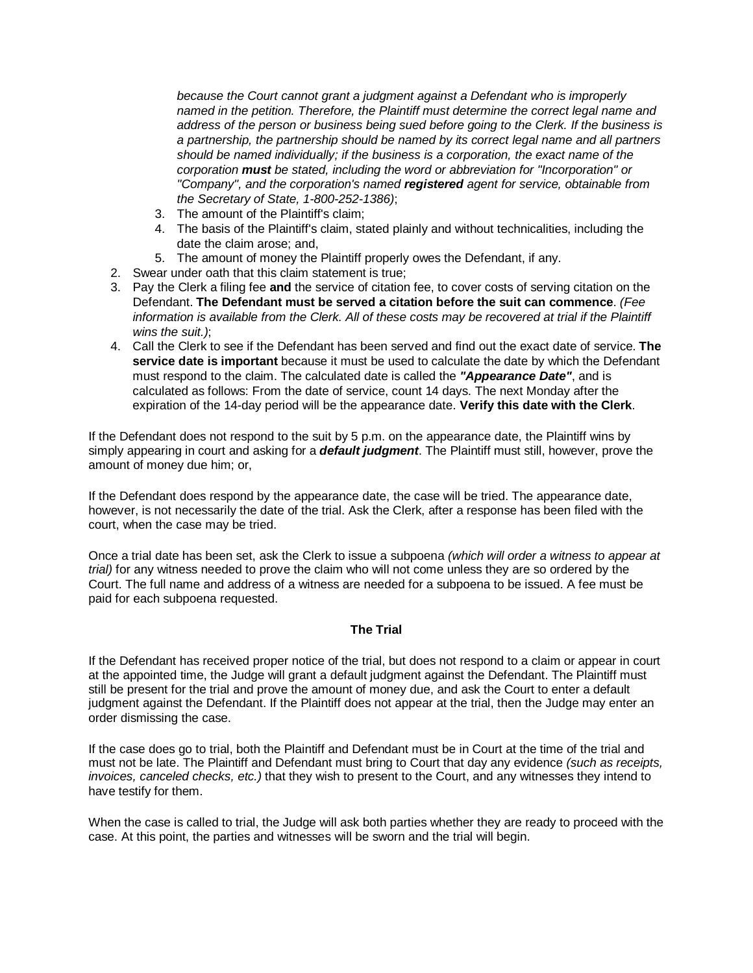*because the Court cannot grant a judgment against a Defendant who is improperly named in the petition. Therefore, the Plaintiff must determine the correct legal name and address of the person or business being sued before going to the Clerk. If the business is a partnership, the partnership should be named by its correct legal name and all partners should be named individually; if the business is a corporation, the exact name of the corporation must be stated, including the word or abbreviation for "Incorporation" or "Company", and the corporation's named registered agent for service, obtainable from the Secretary of State, 1-800-252-1386)*;

- 3. The amount of the Plaintiff's claim;
- 4. The basis of the Plaintiff's claim, stated plainly and without technicalities, including the date the claim arose; and,
- 5. The amount of money the Plaintiff properly owes the Defendant, if any.
- 2. Swear under oath that this claim statement is true;
- 3. Pay the Clerk a filing fee **and** the service of citation fee, to cover costs of serving citation on the Defendant. **The Defendant must be served a citation before the suit can commence**. *(Fee information is available from the Clerk. All of these costs may be recovered at trial if the Plaintiff wins the suit.)*;
- 4. Call the Clerk to see if the Defendant has been served and find out the exact date of service. **The service date is important** because it must be used to calculate the date by which the Defendant must respond to the claim. The calculated date is called the *"Appearance Date"*, and is calculated as follows: From the date of service, count 14 days. The next Monday after the expiration of the 14-day period will be the appearance date. **Verify this date with the Clerk**.

If the Defendant does not respond to the suit by 5 p.m. on the appearance date, the Plaintiff wins by simply appearing in court and asking for a *default judgment*. The Plaintiff must still, however, prove the amount of money due him; or,

If the Defendant does respond by the appearance date, the case will be tried. The appearance date, however, is not necessarily the date of the trial. Ask the Clerk, after a response has been filed with the court, when the case may be tried.

Once a trial date has been set, ask the Clerk to issue a subpoena *(which will order a witness to appear at trial)* for any witness needed to prove the claim who will not come unless they are so ordered by the Court. The full name and address of a witness are needed for a subpoena to be issued. A fee must be paid for each subpoena requested.

#### **The Trial**

If the Defendant has received proper notice of the trial, but does not respond to a claim or appear in court at the appointed time, the Judge will grant a default judgment against the Defendant. The Plaintiff must still be present for the trial and prove the amount of money due, and ask the Court to enter a default judgment against the Defendant. If the Plaintiff does not appear at the trial, then the Judge may enter an order dismissing the case.

If the case does go to trial, both the Plaintiff and Defendant must be in Court at the time of the trial and must not be late. The Plaintiff and Defendant must bring to Court that day any evidence *(such as receipts, invoices, canceled checks, etc.)* that they wish to present to the Court, and any witnesses they intend to have testify for them.

When the case is called to trial, the Judge will ask both parties whether they are ready to proceed with the case. At this point, the parties and witnesses will be sworn and the trial will begin.